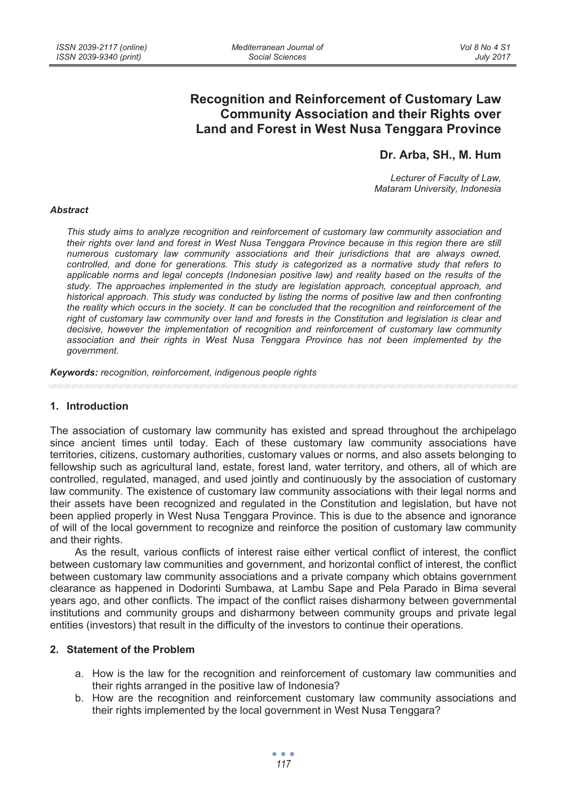# **Recognition and Reinforcement of Customary Law Community Association and their Rights over Land and Forest in West Nusa Tenggara Province**

## **Dr. Arba, SH., M. Hum**

*Lecturer of Faculty of Law, Mataram University, Indonesia* 

#### *Abstract*

*This study aims to analyze recognition and reinforcement of customary law community association and their rights over land and forest in West Nusa Tenggara Province because in this region there are still numerous customary law community associations and their jurisdictions that are always owned, controlled, and done for generations. This study is categorized as a normative study that refers to applicable norms and legal concepts (Indonesian positive law) and reality based on the results of the study. The approaches implemented in the study are legislation approach, conceptual approach, and historical approach. This study was conducted by listing the norms of positive law and then confronting the reality which occurs in the society. It can be concluded that the recognition and reinforcement of the*  right of customary law community over land and forests in the Constitution and legislation is clear and *decisive, however the implementation of recognition and reinforcement of customary law community association and their rights in West Nusa Tenggara Province has not been implemented by the government.* 

*Keywords: recognition, reinforcement, indigenous people rights* 

### **1. Introduction**

The association of customary law community has existed and spread throughout the archipelago since ancient times until today. Each of these customary law community associations have territories, citizens, customary authorities, customary values or norms, and also assets belonging to fellowship such as agricultural land, estate, forest land, water territory, and others, all of which are controlled, regulated, managed, and used jointly and continuously by the association of customary law community. The existence of customary law community associations with their legal norms and their assets have been recognized and regulated in the Constitution and legislation, but have not been applied properly in West Nusa Tenggara Province. This is due to the absence and ignorance of will of the local government to recognize and reinforce the position of customary law community and their rights.

As the result, various conflicts of interest raise either vertical conflict of interest, the conflict between customary law communities and government, and horizontal conflict of interest, the conflict between customary law community associations and a private company which obtains government clearance as happened in Dodorinti Sumbawa, at Lambu Sape and Pela Parado in Bima several years ago, and other conflicts. The impact of the conflict raises disharmony between governmental institutions and community groups and disharmony between community groups and private legal entities (investors) that result in the difficulty of the investors to continue their operations.

#### **2. Statement of the Problem**

- a. How is the law for the recognition and reinforcement of customary law communities and their rights arranged in the positive law of Indonesia?
- b. How are the recognition and reinforcement customary law community associations and their rights implemented by the local government in West Nusa Tenggara?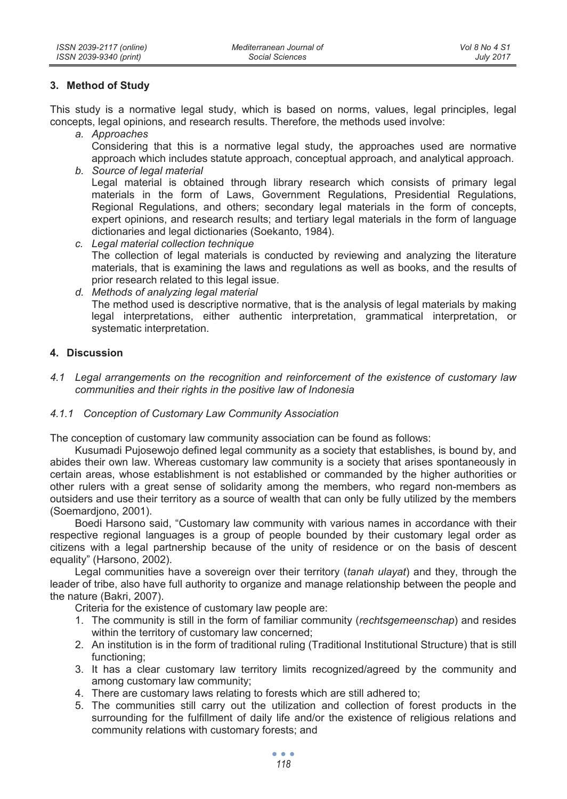## **3. Method of Study**

This study is a normative legal study, which is based on norms, values, legal principles, legal concepts, legal opinions, and research results. Therefore, the methods used involve:

*a. Approaches* 

Considering that this is a normative legal study, the approaches used are normative approach which includes statute approach, conceptual approach, and analytical approach.

- *b. Source of legal material*  Legal material is obtained through library research which consists of primary legal materials in the form of Laws, Government Regulations, Presidential Regulations, Regional Regulations, and others; secondary legal materials in the form of concepts, expert opinions, and research results; and tertiary legal materials in the form of language dictionaries and legal dictionaries (Soekanto, 1984).
- *c. Legal material collection technique*  The collection of legal materials is conducted by reviewing and analyzing the literature materials, that is examining the laws and regulations as well as books, and the results of prior research related to this legal issue.
- *d. Methods of analyzing legal material*  The method used is descriptive normative, that is the analysis of legal materials by making legal interpretations, either authentic interpretation, grammatical interpretation, or systematic interpretation.

## **4. Discussion**

*4.1 Legal arrangements on the recognition and reinforcement of the existence of customary law communities and their rights in the positive law of Indonesia* 

## *4.1.1 Conception of Customary Law Community Association*

The conception of customary law community association can be found as follows:

Kusumadi Pujosewojo defined legal community as a society that establishes, is bound by, and abides their own law. Whereas customary law community is a society that arises spontaneously in certain areas, whose establishment is not established or commanded by the higher authorities or other rulers with a great sense of solidarity among the members, who regard non-members as outsiders and use their territory as a source of wealth that can only be fully utilized by the members (Soemardjono, 2001).

Boedi Harsono said, "Customary law community with various names in accordance with their respective regional languages is a group of people bounded by their customary legal order as citizens with a legal partnership because of the unity of residence or on the basis of descent equality" (Harsono, 2002).

Legal communities have a sovereign over their territory (*tanah ulayat*) and they, through the leader of tribe, also have full authority to organize and manage relationship between the people and the nature (Bakri, 2007).

Criteria for the existence of customary law people are:

- 1. The community is still in the form of familiar community (*rechtsgemeenschap*) and resides within the territory of customary law concerned;
- 2. An institution is in the form of traditional ruling (Traditional Institutional Structure) that is still functioning;
- 3. It has a clear customary law territory limits recognized/agreed by the community and among customary law community;
- 4. There are customary laws relating to forests which are still adhered to;
- 5. The communities still carry out the utilization and collection of forest products in the surrounding for the fulfillment of daily life and/or the existence of religious relations and community relations with customary forests; and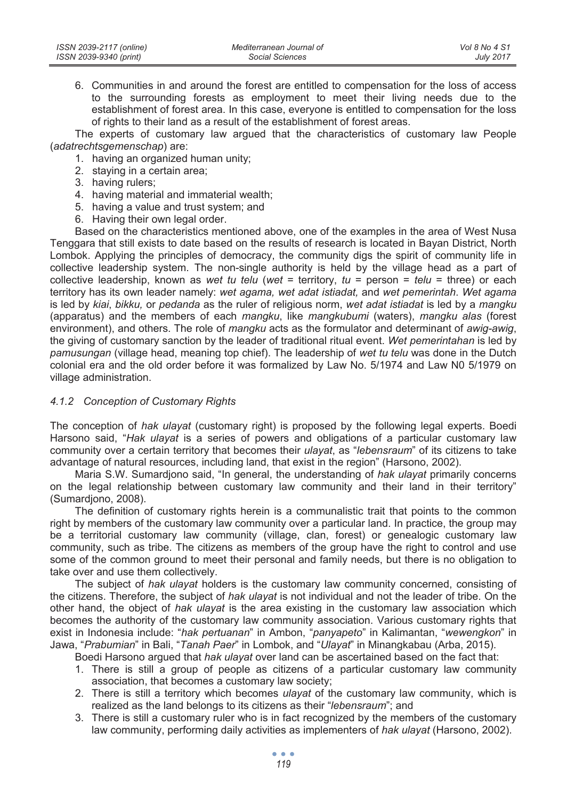6. Communities in and around the forest are entitled to compensation for the loss of access to the surrounding forests as employment to meet their living needs due to the establishment of forest area. In this case, everyone is entitled to compensation for the loss of rights to their land as a result of the establishment of forest areas.

The experts of customary law argued that the characteristics of customary law People (*adatrechtsgemenschap*) are:

- 1. having an organized human unity;
- 2. staying in a certain area;
- 3. having rulers;
- 4. having material and immaterial wealth;
- 5. having a value and trust system; and
- 6. Having their own legal order.

Based on the characteristics mentioned above, one of the examples in the area of West Nusa Tenggara that still exists to date based on the results of research is located in Bayan District, North Lombok. Applying the principles of democracy, the community digs the spirit of community life in collective leadership system. The non-single authority is held by the village head as a part of collective leadership, known as *wet tu telu* (*wet* = territory, *tu* = person = *telu* = three) or each territory has its own leader namely: *wet agama, wet adat istiadat,* and *wet pemerintah*. *Wet agama* is led by *kiai*, *bikku,* or *pedanda* as the ruler of religious norm, *wet adat istiadat* is led by a *mangku* (apparatus) and the members of each *mangku*, like *mangkubumi* (waters), *mangku alas* (forest environment), and others. The role of *mangku* acts as the formulator and determinant of *awig-awig*, the giving of customary sanction by the leader of traditional ritual event. *Wet pemerintahan* is led by *pamusungan* (village head, meaning top chief). The leadership of *wet tu telu* was done in the Dutch colonial era and the old order before it was formalized by Law No. 5/1974 and Law N0 5/1979 on village administration.

## *4.1.2 Conception of Customary Rights*

The conception of *hak ulayat* (customary right) is proposed by the following legal experts. Boedi Harsono said, "*Hak ulayat* is a series of powers and obligations of a particular customary law community over a certain territory that becomes their *ulayat*, as "*lebensraum*" of its citizens to take advantage of natural resources, including land, that exist in the region" (Harsono, 2002).

Maria S.W. Sumardjono said, "In general, the understanding of *hak ulayat* primarily concerns on the legal relationship between customary law community and their land in their territory" (Sumardjono, 2008).

The definition of customary rights herein is a communalistic trait that points to the common right by members of the customary law community over a particular land. In practice, the group may be a territorial customary law community (village, clan, forest) or genealogic customary law community, such as tribe. The citizens as members of the group have the right to control and use some of the common ground to meet their personal and family needs, but there is no obligation to take over and use them collectively.

The subject of *hak ulayat* holders is the customary law community concerned, consisting of the citizens. Therefore, the subject of *hak ulayat* is not individual and not the leader of tribe. On the other hand, the object of *hak ulayat* is the area existing in the customary law association which becomes the authority of the customary law community association. Various customary rights that exist in Indonesia include: "*hak pertuanan*" in Ambon, "*panyapeto*" in Kalimantan, "*wewengkon*" in Jawa, "*Prabumian*" in Bali, "*Tanah Paer*" in Lombok, and "*Ulayat*" in Minangkabau (Arba, 2015).

Boedi Harsono argued that *hak ulayat* over land can be ascertained based on the fact that:

- 1. There is still a group of people as citizens of a particular customary law community association, that becomes a customary law society;
- 2. There is still a territory which becomes *ulayat* of the customary law community, which is realized as the land belongs to its citizens as their "*lebensraum*"; and
- 3. There is still a customary ruler who is in fact recognized by the members of the customary law community, performing daily activities as implementers of *hak ulayat* (Harsono, 2002).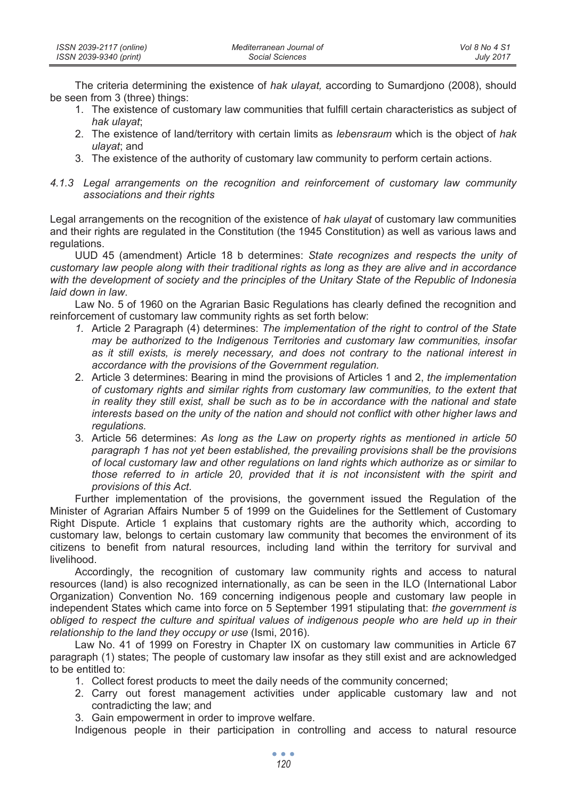| ISSN 2039-2117 (online) | Mediterranean Journal of | Vol 8 No 4 S1    |
|-------------------------|--------------------------|------------------|
| ISSN 2039-9340 (print)  | Social Sciences          | <b>July 2017</b> |

The criteria determining the existence of *hak ulayat,* according to Sumardjono (2008), should be seen from 3 (three) things:

- 1. The existence of customary law communities that fulfill certain characteristics as subject of *hak ulayat*;
- 2. The existence of land/territory with certain limits as *lebensraum* which is the object of *hak ulayat*; and
- 3. The existence of the authority of customary law community to perform certain actions.
- *4.1.3 Legal arrangements on the recognition and reinforcement of customary law community associations and their rights*

Legal arrangements on the recognition of the existence of *hak ulayat* of customary law communities and their rights are regulated in the Constitution (the 1945 Constitution) as well as various laws and regulations.

UUD 45 (amendment) Article 18 b determines: *State recognizes and respects the unity of customary law people along with their traditional rights as long as they are alive and in accordance with the development of society and the principles of the Unitary State of the Republic of Indonesia laid down in law*.

Law No. 5 of 1960 on the Agrarian Basic Regulations has clearly defined the recognition and reinforcement of customary law community rights as set forth below:

- *1.* Article 2 Paragraph (4) determines: *The implementation of the right to control of the State may be authorized to the Indigenous Territories and customary law communities, insofar as it still exists, is merely necessary, and does not contrary to the national interest in accordance with the provisions of the Government regulation.*
- 2. Article 3 determines: Bearing in mind the provisions of Articles 1 and 2, *the implementation of customary rights and similar rights from customary law communities, to the extent that in reality they still exist, shall be such as to be in accordance with the national and state interests based on the unity of the nation and should not conflict with other higher laws and regulations.*
- 3. Article 56 determines: *As long as the Law on property rights as mentioned in article 50 paragraph 1 has not yet been established, the prevailing provisions shall be the provisions of local customary law and other regulations on land rights which authorize as or similar to those referred to in article 20, provided that it is not inconsistent with the spirit and provisions of this Act.*

Further implementation of the provisions, the government issued the Regulation of the Minister of Agrarian Affairs Number 5 of 1999 on the Guidelines for the Settlement of Customary Right Dispute. Article 1 explains that customary rights are the authority which, according to customary law, belongs to certain customary law community that becomes the environment of its citizens to benefit from natural resources, including land within the territory for survival and livelihood.

Accordingly, the recognition of customary law community rights and access to natural resources (land) is also recognized internationally, as can be seen in the ILO (International Labor Organization) Convention No. 169 concerning indigenous people and customary law people in independent States which came into force on 5 September 1991 stipulating that: *the government is obliged to respect the culture and spiritual values of indigenous people who are held up in their relationship to the land they occupy or use* (Ismi, 2016).

Law No. 41 of 1999 on Forestry in Chapter IX on customary law communities in Article 67 paragraph (1) states; The people of customary law insofar as they still exist and are acknowledged to be entitled to:

- 1. Collect forest products to meet the daily needs of the community concerned;
- 2. Carry out forest management activities under applicable customary law and not contradicting the law; and
- 3. Gain empowerment in order to improve welfare.

Indigenous people in their participation in controlling and access to natural resource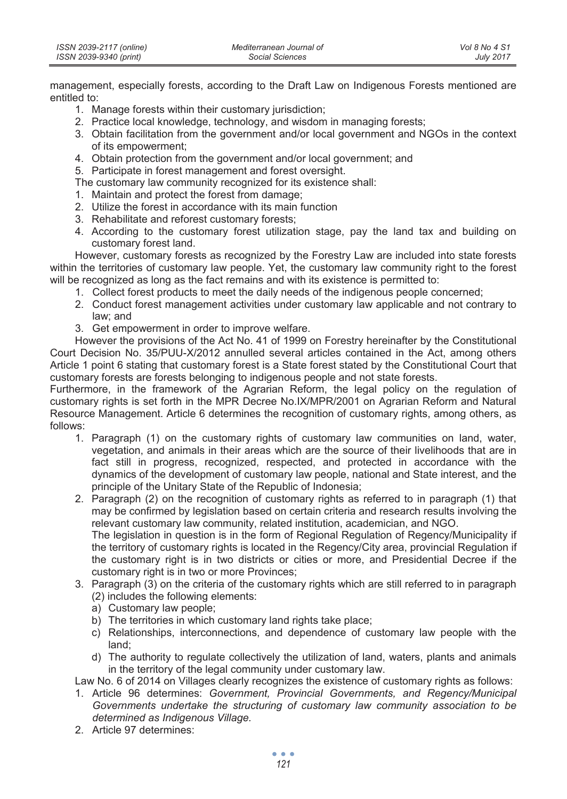| ISSN 2039-2117 (online) | Mediterranean Journal of | Vol 8 No 4 S1    |
|-------------------------|--------------------------|------------------|
| ISSN 2039-9340 (print)  | Social Sciences          | <b>July 2017</b> |

management, especially forests, according to the Draft Law on Indigenous Forests mentioned are entitled to:

- 1. Manage forests within their customary jurisdiction;
- 2. Practice local knowledge, technology, and wisdom in managing forests;
- 3. Obtain facilitation from the government and/or local government and NGOs in the context of its empowerment;
- 4. Obtain protection from the government and/or local government; and
- 5. Participate in forest management and forest oversight.
- The customary law community recognized for its existence shall:
- 1. Maintain and protect the forest from damage;
- 2. Utilize the forest in accordance with its main function
- 3. Rehabilitate and reforest customary forests;
- 4. According to the customary forest utilization stage, pay the land tax and building on customary forest land.

However, customary forests as recognized by the Forestry Law are included into state forests within the territories of customary law people. Yet, the customary law community right to the forest will be recognized as long as the fact remains and with its existence is permitted to:

- 1. Collect forest products to meet the daily needs of the indigenous people concerned;
- 2. Conduct forest management activities under customary law applicable and not contrary to law; and
- 3. Get empowerment in order to improve welfare.

However the provisions of the Act No. 41 of 1999 on Forestry hereinafter by the Constitutional Court Decision No. 35/PUU-X/2012 annulled several articles contained in the Act, among others Article 1 point 6 stating that customary forest is a State forest stated by the Constitutional Court that customary forests are forests belonging to indigenous people and not state forests.

Furthermore, in the framework of the Agrarian Reform, the legal policy on the regulation of customary rights is set forth in the MPR Decree No.IX/MPR/2001 on Agrarian Reform and Natural Resource Management. Article 6 determines the recognition of customary rights, among others, as follows:

- 1. Paragraph (1) on the customary rights of customary law communities on land, water, vegetation, and animals in their areas which are the source of their livelihoods that are in fact still in progress, recognized, respected, and protected in accordance with the dynamics of the development of customary law people, national and State interest, and the principle of the Unitary State of the Republic of Indonesia;
- 2. Paragraph (2) on the recognition of customary rights as referred to in paragraph (1) that may be confirmed by legislation based on certain criteria and research results involving the relevant customary law community, related institution, academician, and NGO.

The legislation in question is in the form of Regional Regulation of Regency/Municipality if the territory of customary rights is located in the Regency/City area, provincial Regulation if the customary right is in two districts or cities or more, and Presidential Decree if the customary right is in two or more Provinces;

- 3. Paragraph (3) on the criteria of the customary rights which are still referred to in paragraph (2) includes the following elements:
	- a) Customary law people;
	- b) The territories in which customary land rights take place:
	- c) Relationships, interconnections, and dependence of customary law people with the land;
	- d) The authority to regulate collectively the utilization of land, waters, plants and animals in the territory of the legal community under customary law.

Law No. 6 of 2014 on Villages clearly recognizes the existence of customary rights as follows:

- 1. Article 96 determines: *Government, Provincial Governments, and Regency/Municipal Governments undertake the structuring of customary law community association to be determined as Indigenous Village.*
- 2. Article 97 determines: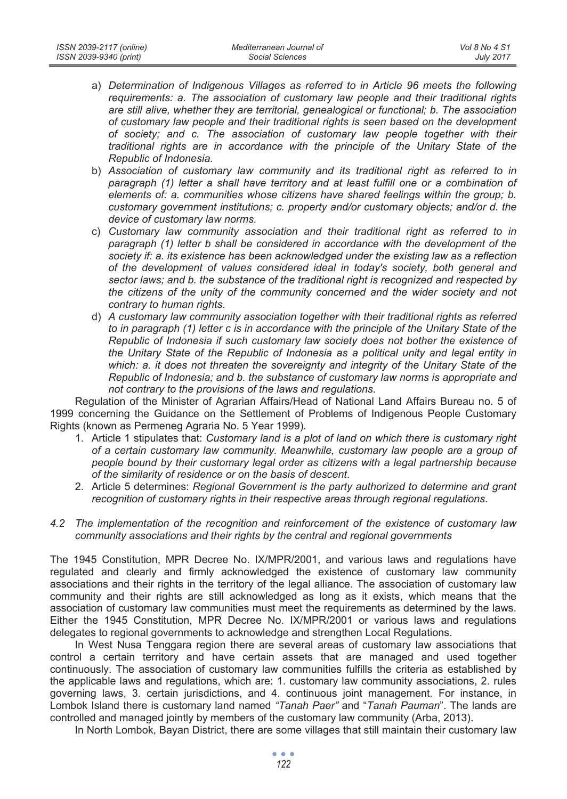- a) *Determination of Indigenous Villages as referred to in Article 96 meets the following requirements: a. The association of customary law people and their traditional rights are still alive, whether they are territorial, genealogical or functional; b. The association of customary law people and their traditional rights is seen based on the development of society; and c. The association of customary law people together with their traditional rights are in accordance with the principle of the Unitary State of the Republic of Indonesia.*
- b) *Association of customary law community and its traditional right as referred to in*  paragraph (1) letter a shall have territory and at least fulfill one or a combination of *elements of: a. communities whose citizens have shared feelings within the group; b. customary government institutions; c. property and/or customary objects; and/or d. the device of customary law norms.*
- c) *Customary law community association and their traditional right as referred to in paragraph (1) letter b shall be considered in accordance with the development of the society if: a. its existence has been acknowledged under the existing law as a reflection of the development of values considered ideal in today's society, both general and sector laws; and b. the substance of the traditional right is recognized and respected by the citizens of the unity of the community concerned and the wider society and not contrary to human rights*.
- d) *A customary law community association together with their traditional rights as referred to in paragraph (1) letter c is in accordance with the principle of the Unitary State of the Republic of Indonesia if such customary law society does not bother the existence of the Unitary State of the Republic of Indonesia as a political unity and legal entity in which: a. it does not threaten the sovereignty and integrity of the Unitary State of the Republic of Indonesia; and b. the substance of customary law norms is appropriate and not contrary to the provisions of the laws and regulations*.

Regulation of the Minister of Agrarian Affairs/Head of National Land Affairs Bureau no. 5 of 1999 concerning the Guidance on the Settlement of Problems of Indigenous People Customary Rights (known as Permeneg Agraria No. 5 Year 1999).

- 1. Article 1 stipulates that: *Customary land is a plot of land on which there is customary right of a certain customary law community. Meanwhile, customary law people are a group of people bound by their customary legal order as citizens with a legal partnership because of the similarity of residence or on the basis of descent*.
- 2. Article 5 determines: *Regional Government is the party authorized to determine and grant recognition of customary rights in their respective areas through regional regulations*.
- *4.2 The implementation of the recognition and reinforcement of the existence of customary law community associations and their rights by the central and regional governments*

The 1945 Constitution, MPR Decree No. IX/MPR/2001, and various laws and regulations have regulated and clearly and firmly acknowledged the existence of customary law community associations and their rights in the territory of the legal alliance. The association of customary law community and their rights are still acknowledged as long as it exists, which means that the association of customary law communities must meet the requirements as determined by the laws. Either the 1945 Constitution, MPR Decree No. IX/MPR/2001 or various laws and regulations delegates to regional governments to acknowledge and strengthen Local Regulations.

In West Nusa Tenggara region there are several areas of customary law associations that control a certain territory and have certain assets that are managed and used together continuously. The association of customary law communities fulfills the criteria as established by the applicable laws and regulations, which are: 1. customary law community associations, 2. rules governing laws, 3. certain jurisdictions, and 4. continuous joint management. For instance, in Lombok Island there is customary land named *"Tanah Paer"* and "*Tanah Pauman*". The lands are controlled and managed jointly by members of the customary law community (Arba, 2013).

In North Lombok, Bayan District, there are some villages that still maintain their customary law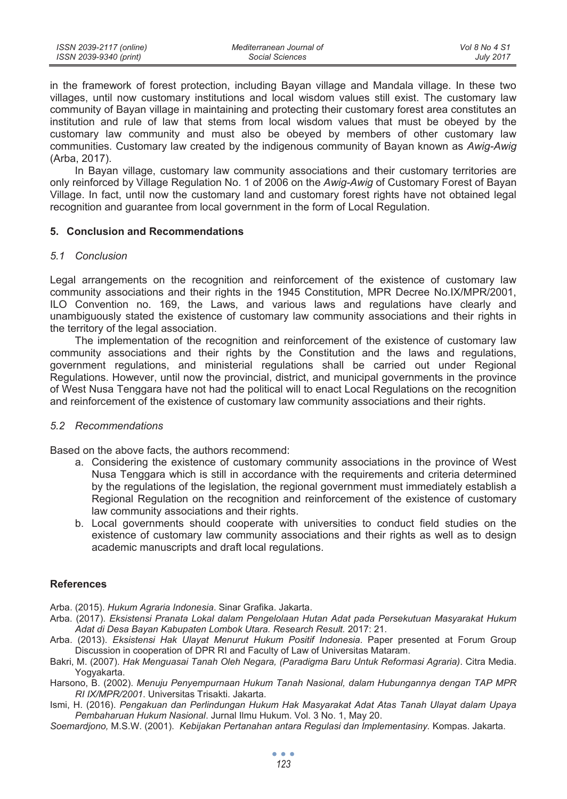in the framework of forest protection, including Bayan village and Mandala village. In these two villages, until now customary institutions and local wisdom values still exist. The customary law community of Bayan village in maintaining and protecting their customary forest area constitutes an institution and rule of law that stems from local wisdom values that must be obeyed by the customary law community and must also be obeyed by members of other customary law communities. Customary law created by the indigenous community of Bayan known as *Awig-Awig*  (Arba, 2017).

In Bayan village, customary law community associations and their customary territories are only reinforced by Village Regulation No. 1 of 2006 on the *Awig-Awig* of Customary Forest of Bayan Village. In fact, until now the customary land and customary forest rights have not obtained legal recognition and guarantee from local government in the form of Local Regulation.

### **5. Conclusion and Recommendations**

#### *5.1 Conclusion*

Legal arrangements on the recognition and reinforcement of the existence of customary law community associations and their rights in the 1945 Constitution, MPR Decree No.IX/MPR/2001, ILO Convention no. 169, the Laws, and various laws and regulations have clearly and unambiguously stated the existence of customary law community associations and their rights in the territory of the legal association.

The implementation of the recognition and reinforcement of the existence of customary law community associations and their rights by the Constitution and the laws and regulations, government regulations, and ministerial regulations shall be carried out under Regional Regulations. However, until now the provincial, district, and municipal governments in the province of West Nusa Tenggara have not had the political will to enact Local Regulations on the recognition and reinforcement of the existence of customary law community associations and their rights.

#### *5.2 Recommendations*

Based on the above facts, the authors recommend:

- a. Considering the existence of customary community associations in the province of West Nusa Tenggara which is still in accordance with the requirements and criteria determined by the regulations of the legislation, the regional government must immediately establish a Regional Regulation on the recognition and reinforcement of the existence of customary law community associations and their rights.
- b. Local governments should cooperate with universities to conduct field studies on the existence of customary law community associations and their rights as well as to design academic manuscripts and draft local regulations.

## **References**

Arba. (2015). *Hukum Agraria Indonesia*. Sinar Grafika. Jakarta.

- Arba. (2017). *Eksistensi Pranata Lokal dalam Pengelolaan Hutan Adat pada Persekutuan Masyarakat Hukum Adat di Desa Bayan Kabupaten Lombok Utara. Research Result.* 2017: 21.
- Arba. (2013). *Eksistensi Hak Ulayat Menurut Hukum Positif Indonesia*. Paper presented at Forum Group Discussion in cooperation of DPR RI and Faculty of Law of Universitas Mataram.
- Bakri, M. (2007). *Hak Menguasai Tanah Oleh Negara, (Paradigma Baru Untuk Reformasi Agraria)*. Citra Media. Yogyakarta.
- Harsono, B. (2002). *Menuju Penyempurnaan Hukum Tanah Nasional, dalam Hubungannya dengan TAP MPR RI IX/MPR/2001*. Universitas Trisakti. Jakarta.
- Ismi, H. (2016). *Pengakuan dan Perlindungan Hukum Hak Masyarakat Adat Atas Tanah Ulayat dalam Upaya Pembaharuan Hukum Nasional*. Jurnal Ilmu Hukum. Vol. 3 No. 1, May 20.
- *Soemardjono,* M.S.W. (2001). *Kebijakan Pertanahan antara Regulasi dan Implementasiny.* Kompas. Jakarta.